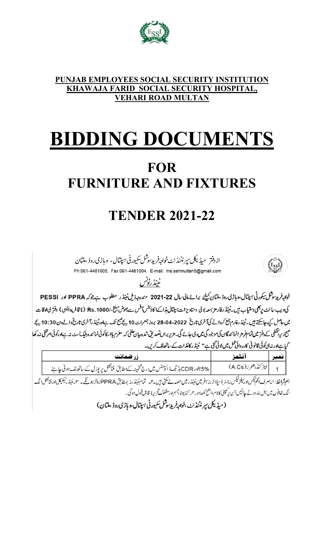

### **PUNJAB EMPLOYEES SOCIAL SECURITY INSTITUTION KHAWAJA FARID SOCIAL SECURITY HOSPITAL, VEHARI ROAD MULTAN**

# **BIDDING DOCUMENTS FOR FURNITURE AND FIXTURES**

# **TENDER 2021-22**

ازدفتر میڈیکل سپرنٹنڈنٹ خواجہفر بدسوشل سکیورٹی ہیپتال، وہاڑی روڈ ،ملتان Ph:061-4481005, Fax:061-4481004, E-mail: ms.sshmultan5@gmail.com

ٹینڈرنوٹس



خواجہ فریدسوشل سکور ٹی ہیتال،وہاڑی روڈ ،ملتان کیلئے برائے مالی سال 22-2021 مندرجہذیل ٹینڈر مطلوب ہے جوکہ PPRA اور PESSI کی ویب سائٹ پر بھی دستیاب ہیں۔ٹینڈ رفار مز بمعہ یو لی دستاویزات بہتال ہذا کے اکاؤنٹس آفس سے بعوض مبلغ -/ Rs.1000 (نا قابل داپسی ) دفتر یاادقات میں حاصل کیے جاسکتے ہیں۔ٹینڈ رفارم جمع کروانے کیآ خری تاریخ 28-04-2022 بروز جعرات 10 بچے پیچ تک ہےاورٹینڈ رآخری تاریخ والےدن 10:30 بچے صبح زیر پیخلی کے دفتر میں تمام فرمز انمائندگان کی موجود گی میں ساتھ کی ساتھ تھا تھا تھا تھا کہ اسکار کی نمائندہ بلیک سٹ نہ ہےاورکوئی امرخفی نہ رکھا گیاہےاور نہ بی کوئی قانو نی کارروائی عمل میں لائی گئی ہے" ٹینڈ رکاغذات کے ساتھ لف کریں۔

| <b>زر صمانت</b>                                                                           | الثقمز                  | انمبرا |
|-------------------------------------------------------------------------------------------|-------------------------|--------|
| %5% بطور CDR بڈ نگ ڈ اکونٹس میں درج تخمینہ کے مطابق فنانشل پر پوزل کے ساتھ لف ہونی جا ہئے | 1   ایرَ کنڈیشز ز(A.Cs) |        |

۔<br>اہم <mark>ثرا لط</mark>: ا۔صرف اَنکم<sup>نیک</sup>ساور سلز <sup>نی</sup>کس رجسٹر ڈسپلا ئزرز افریٹن ٹیس حصہ لے سکتی ہیں۔۳۔ تماریلز ہوتکے ۔ سائینڈر ٹیکنیکلادرفنانش الگ ا لگ لفافوں میں بیل بند ہونے جائیں جن برِ کمپنی کانا مواضح لکھاہو۔ ہی کٹا پیٹا بہہم اور مشکوک تحریرنا قابل قبول ہو گی۔

(میڈیکل سپرنٹنڈنٹ ،خواجڈ پریپوشل سکیورٹی ہیپتال،و ہاڑی روڈ ،ملتان)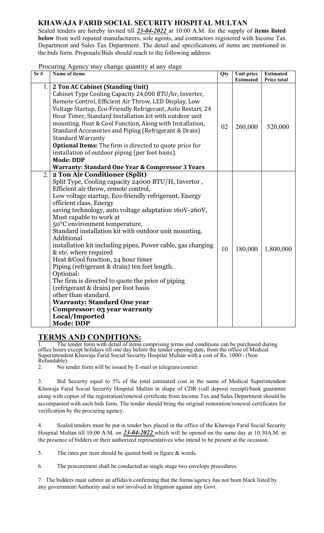### **KHAWAJA FARID SOCIAL SECURITY HOSPITAL MULTAN**

Sealed tenders are hereby invited till *23-04-2022* at 10:00 A.M. for the supply of **items listed below** from well reputed manufacturers, sole agents, and contractors registered with Income Tax Department and Sales Tax Department. The detail and specifications of items are mentioned in the bids form. Proposals/Bids should reach to the following address:

#### Procuring Agency may change quantity at any stage

| Sr# | Name of items                                                  | Qty | Unit price<br><b>Estimated</b> | <b>Estimated</b><br>Price total |
|-----|----------------------------------------------------------------|-----|--------------------------------|---------------------------------|
| 1.  | 2 Ton AC Cabinet (Standing Unit)                               |     |                                |                                 |
|     | Cabinet Type Cooling Capacity 24,000 BTU/hr, Inverter,         |     |                                |                                 |
|     | Remote Control, Efficient Air Throw, LED Display, Low          |     |                                |                                 |
|     | Voltage Startup, Eco-Friendly Refrigerant, Auto Restart, 24    |     |                                |                                 |
|     | Hour Timer, Standard Installation kit with outdoor unit        |     |                                |                                 |
|     | mounting. Heat & Cool Function, Along with Installation,       | 02  | 260,000                        | 520,000                         |
|     | Standard Accessories and Piping (Refrigerant & Drain)          |     |                                |                                 |
|     | <b>Standard Warranty</b>                                       |     |                                |                                 |
|     | <b>Optional Items:</b> The firm is directed to quote price for |     |                                |                                 |
|     | installation of outdoor piping (per foot basis).               |     |                                |                                 |
|     | <b>Mode: DDP</b>                                               |     |                                |                                 |
|     | <b>Warranty: Standard One Year &amp; Compressor 3 Years</b>    |     |                                |                                 |
| 2.  | 2 Ton Air Conditioner (Split)                                  |     |                                |                                 |
|     | Split Type, Cooling capacity 24000 BTU/H, Invertor,            |     |                                |                                 |
|     | Efficient air throw, remote control,                           |     |                                |                                 |
|     | Low voltage startup, Eco-friendly refrigerant, Energy          |     |                                |                                 |
|     | efficient class, Energy                                        |     |                                |                                 |
|     | saving technology, auto voltage adaptation 160V-260V,          |     |                                |                                 |
|     | Must capable to work at<br>50°C environment temperature,       |     |                                |                                 |
|     | Standard installation kit with outdoor unit mounting.          |     |                                |                                 |
|     | Additional                                                     |     |                                |                                 |
|     | installation kit including pipes, Power cable, gas charging    |     |                                |                                 |
|     | & etc. where required                                          | 10  | 180,000                        | 1,800,000                       |
|     | Heat & Cool function, 24 hour timer                            |     |                                |                                 |
|     | Piping (refrigerant & drain) ten feet length.                  |     |                                |                                 |
|     | Optional:                                                      |     |                                |                                 |
|     | The firm is directed to quote the price of piping              |     |                                |                                 |
|     | (refrigerant & drain) per foot basis                           |     |                                |                                 |
|     | other than standard.                                           |     |                                |                                 |
|     | <b>Warranty: Standard One year</b>                             |     |                                |                                 |
|     | <b>Compressor: 03 year warranty</b>                            |     |                                |                                 |
|     | Local/Imported                                                 |     |                                |                                 |
|     | <b>Mode: DDP</b>                                               |     |                                |                                 |

# **TERMS AND CONDITIONS:**<br>The tender form with detail of items

The tender form with detail of items comprising terms and conditions can be purchased during office hours except holidays till one day before the tender opening date, from the office of Medical Superintendent Khawaja Farid Social Security Hospital Multan with a cost of Rs. 1000/- (Non Refundable).

2. No tender form will be issued by E-mail or telegram/courier.

3. Bid Security equal to 5% of the total estimated cost in the name of Medical Superintendent Khawaja Farid Social Security Hospital Multan in shape of CDR (call deposit receipt)/bank guarantee along with copies of the registration/renewal certificate from Income Tax and Sales Department should be accompanied with each bids form. The tender should bring the original restoration/renewal certificates for verification by the procuring agency.

4. Sealed tenders must be put in tender box placed in the office of the Khawaja Farid Social Security Hospital Multan till 10:00 A.M. on *23-04-2022* which will be opened on the same day at 10:30A.M. in the presence of bidders or their authorized representatives who intend to be present at the occasion.

5. The rates per item should be quoted both in figure & words.

6. The procurement shall be conducted as single stage two envelops procedures.

7. The bidders must submit an affidavit confirming that the forms/agency has not been black listed by any government/Authority and is not involved in litigation against any Govt.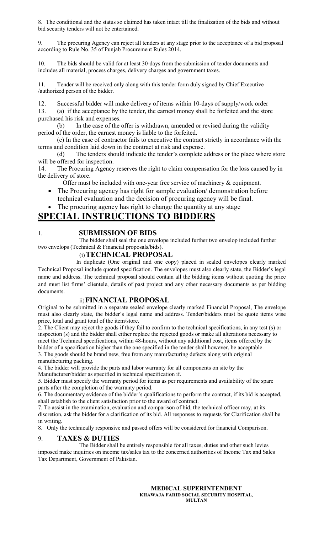8. The conditional and the status so claimed has taken intact till the finalization of the bids and without bid security tenders will not be entertained.

9. The procuring Agency can reject all tenders at any stage prior to the acceptance of a bid proposal according to Rule No. 35 of Punjab Procurement Rules 2014.

10. The bids should be valid for at least 30-days from the submission of tender documents and includes all material, process charges, delivery charges and government taxes.

11. Tender will be received only along with this tender form duly signed by Chief Executive /authorized person of the bidder.

12. Successful bidder will make delivery of items within 10-days of supply/work order

13. (a) if the acceptance by the tender, the earnest money shall be forfeited and the store purchased his risk and expenses.

(b) In the case of the offer is withdrawn, amended or revised during the validity period of the order, the earnest money is liable to the forfeited.

(c) In the case of contractor fails to executive the contract strictly in accordance with the terms and condition laid down in the contract at risk and expense.

(d) The tenders should indicate the tender's complete address or the place where store will be offered for inspection.

14. The Procuring Agency reserves the right to claim compensation for the loss caused by in the delivery of store.

Offer must be included with one-year free service of machinery & equipment.

- The Procuring agency has right for sample evaluation/ demonstration before technical evaluation and the decision of procuring agency will be final.
- The procuring agency has right to change the quantity at any stage

## **SPECIAL INSTRUCTIONS TO BIDDERS**

#### 1. **SUBMISSION OF BIDS**

The bidder shall seal the one envelope included further two envelop included further two envelops (Technical & Financial proposals/bids).

#### (i)**TECHNICAL PROPOSAL**

In duplicate (One original and one copy) placed in sealed envelopes clearly marked Technical Proposal include quoted specification. The envelopes must also clearly state, the Bidder's legal name and address. The technical proposal should contain all the bidding items without quoting the price and must list firms' clientele, details of past project and any other necessary documents as per bidding documents.

#### ii)**FINANCIAL PROPOSAL**

Original to be submitted in a separate sealed envelope clearly marked Financial Proposal, The envelope must also clearly state, the bidder's legal name and address. Tender/bidders must be quote items wise price, total and grant total of the item/store.

2. The Client may reject the goods if they fail to confirm to the technical specifications, in any test (s) or inspection (s) and the bidder shall either replace the rejected goods or make all alterations necessary to meet the Technical specifications, within 48-hours, without any additional cost, items offered by the bidder of a specification higher than the one specified in the tender shall however, be acceptable. 3. The goods should be brand new, free from any manufacturing defects along with original

manufacturing packing.

4. The bidder will provide the parts and labor warranty for all components on site by the Manufacturer/bidder as specified in technical specification if.

5. Bidder must specify the warranty period for items as per requirements and availability of the spare parts after the completion of the warranty period.

6. The documentary evidence of the bidder's qualifications to perform the contract, if its bid is accepted, shall establish to the client satisfaction prior to the award of contract.

7. To assist in the examination, evaluation and comparison of bid, the technical officer may, at its discretion, ask the bidder for a clarification of its bid. All responses to requests for Clarification shall be in writing.

8. Only the technically responsive and passed offers will be considered for financial Comparison.

#### 9. **TAXES & DUTIES**

The Bidder shall be entirely responsible for all taxes, duties and other such levies imposed make inquiries on income tax/sales tax to the concerned authorities of Income Tax and Sales Tax Department, Government of Pakistan.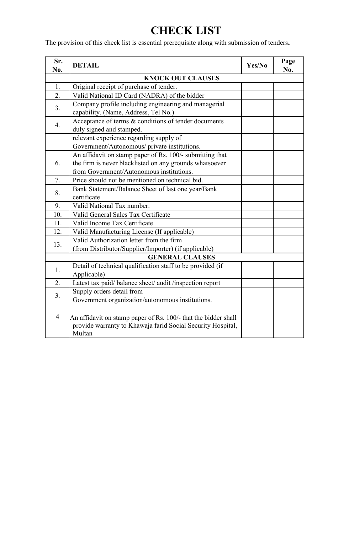# **CHECK LIST**

The provision of this check list is essential prerequisite along with submission of tenders**.**

| Sr.<br>No.               | <b>DETAIL</b>                                                                                                                                                   | Yes/No | Page<br>No. |  |  |  |  |  |
|--------------------------|-----------------------------------------------------------------------------------------------------------------------------------------------------------------|--------|-------------|--|--|--|--|--|
| <b>KNOCK OUT CLAUSES</b> |                                                                                                                                                                 |        |             |  |  |  |  |  |
| 1.                       | Original receipt of purchase of tender.                                                                                                                         |        |             |  |  |  |  |  |
| 2.                       | Valid National ID Card (NADRA) of the bidder                                                                                                                    |        |             |  |  |  |  |  |
| 3.                       | Company profile including engineering and managerial<br>capability. (Name, Address, Tel No.)                                                                    |        |             |  |  |  |  |  |
| $\overline{4}$ .         | Acceptance of terms & conditions of tender documents<br>duly signed and stamped.                                                                                |        |             |  |  |  |  |  |
|                          | relevant experience regarding supply of<br>Government/Autonomous/ private institutions.                                                                         |        |             |  |  |  |  |  |
| 6.                       | An affidavit on stamp paper of Rs. 100/- submitting that<br>the firm is never blacklisted on any grounds whatsoever<br>from Government/Autonomous institutions. |        |             |  |  |  |  |  |
| 7.                       | Price should not be mentioned on technical bid.                                                                                                                 |        |             |  |  |  |  |  |
| 8.                       | Bank Statement/Balance Sheet of last one year/Bank<br>certificate                                                                                               |        |             |  |  |  |  |  |
| 9.                       | Valid National Tax number.                                                                                                                                      |        |             |  |  |  |  |  |
| 10.                      | Valid General Sales Tax Certificate                                                                                                                             |        |             |  |  |  |  |  |
| 11.                      | Valid Income Tax Certificate                                                                                                                                    |        |             |  |  |  |  |  |
| 12.                      | Valid Manufacturing License (If applicable)                                                                                                                     |        |             |  |  |  |  |  |
| 13.                      | Valid Authorization letter from the firm<br>(from Distributor/Supplier/Importer) (if applicable)                                                                |        |             |  |  |  |  |  |
| <b>GENERAL CLAUSES</b>   |                                                                                                                                                                 |        |             |  |  |  |  |  |
| 1.                       | Detail of technical qualification staff to be provided (if<br>Applicable)                                                                                       |        |             |  |  |  |  |  |
| 2.                       | Latest tax paid/balance sheet/audit/inspection report                                                                                                           |        |             |  |  |  |  |  |
| 3.                       | Supply orders detail from<br>Government organization/autonomous institutions.                                                                                   |        |             |  |  |  |  |  |
| $\overline{4}$           | An affidavit on stamp paper of Rs. 100/- that the bidder shall<br>provide warranty to Khawaja farid Social Security Hospital,<br>Multan                         |        |             |  |  |  |  |  |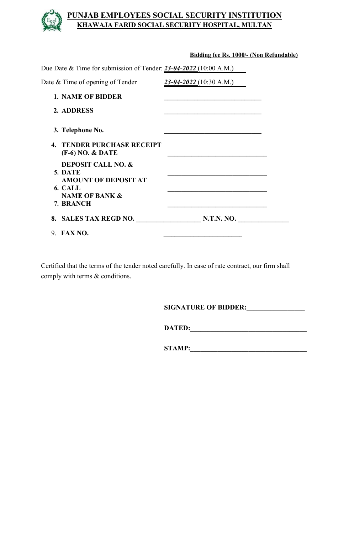### **PUNJAB EMPLOYEES SOCIAL SECURITY INSTITUTION KHAWAJA FARID SOCIAL SECURITY HOSPITAL, MULTAN**

|                                                                            | Bidding fee Rs. 1000/- (Non Refundable)                                                                                 |  |
|----------------------------------------------------------------------------|-------------------------------------------------------------------------------------------------------------------------|--|
| Due Date & Time for submission of Tender: $23-04-2022(10:00 \text{ A.M.})$ |                                                                                                                         |  |
| Date $&$ Time of opening of Tender                                         | $23 - 04 - 2022$ (10:30 A.M.)                                                                                           |  |
| <b>1. NAME OF BIDDER</b>                                                   | <u> 1989 - Johann Stoff, deutscher Stoffen und der Stoffen und der Stoffen und der Stoffen und der Stoffen und der </u> |  |
| 2. ADDRESS                                                                 |                                                                                                                         |  |
| 3. Telephone No.                                                           |                                                                                                                         |  |
| <b>4. TENDER PURCHASE RECEIPT</b><br>$(F-6) NO. & DATE$                    |                                                                                                                         |  |
| <b>DEPOSIT CALL NO. &amp;</b><br>5. DATE<br><b>AMOUNT OF DEPOSIT AT</b>    |                                                                                                                         |  |
| 6. CALL<br><b>NAME OF BANK &amp;</b><br>7. BRANCH                          |                                                                                                                         |  |
|                                                                            | 8. SALES TAX REGD NO. N.T.N. NO.                                                                                        |  |
| 9. FAX NO.                                                                 |                                                                                                                         |  |

Certified that the terms of the tender noted carefully. In case of rate contract, our firm shall comply with terms & conditions.

**SIGNATURE OF BIDDER:** 

**DATED:\_\_\_\_\_\_\_\_\_\_\_\_\_\_\_\_\_\_\_\_\_\_\_\_\_\_\_\_\_\_\_\_\_\_**

**STAMP:\_\_\_\_\_\_\_\_\_\_\_\_\_\_\_\_\_\_\_\_\_\_\_\_\_\_\_\_\_\_\_\_\_\_**